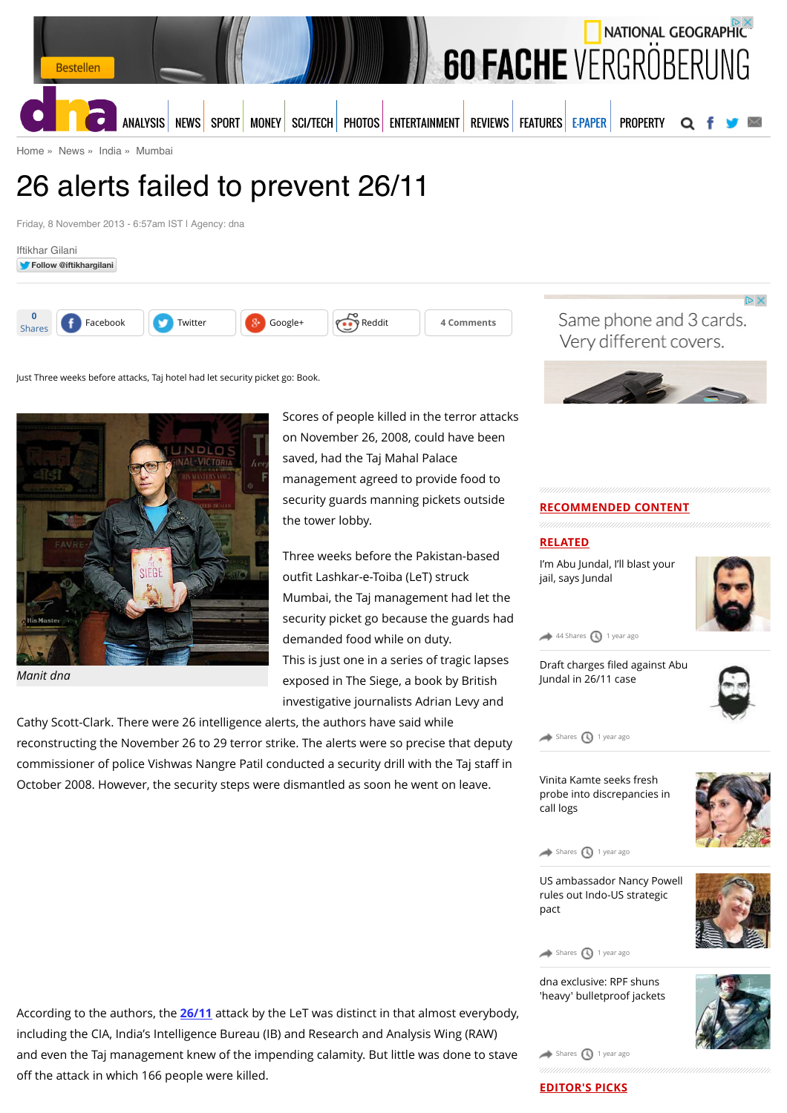

[Home](http://www.dnaindia.com/) » [News](http://www.dnaindia.com/news) » [India](http://www.dnaindia.com/india) » [Mumbai](http://www.dnaindia.com/mumbai)

# 26 alerts failed to prevent 26/11

Friday, 8 November 2013 - 6:57am IST | Agency: dna





Just Three weeks before attacks, Taj hotel had let security picket go: Book.



*Manit dna*

Scores of people killed in the terror attacks on November 26, 2008, could have been saved, had the Taj Mahal Palace management agreed to provide food to security guards manning pickets outside the tower lobby.

Three weeks before the Pakistan-based outfit Lashkar-e-Toiba (LeT) struck Mumbai, the Taj management had let the security picket go because the guards had demanded food while on duty. This is just one in a series of tragic lapses exposed in The Siege, a book by British investigative journalists Adrian Levy and

Cathy Scott-Clark. There were 26 intelligence alerts, the authors have said while reconstructing the November 26 to 29 terror strike. The alerts were so precise that deputy commissioner of police Vishwas Nangre Patil conducted a security drill with the Taj staff in October 2008. However, the security steps were dismantled as soon he went on leave.

Same phone and 3 cards. Very different covers.



#### **RECOMMENDED CONTENT**

# **RELATED**

[I'm Abu Jundal, I'll blast your](http://www.dnaindia.com/mumbai/report-i-m-abu-jundal-i-ll-blast-your-jail-says-jundal-1959893) jail, says Jundal



 $D \times$ 

 $44$  Shares  $\bigcirc$  [1 year ago](http://www.dnaindia.com/mumbai/report-26-alerts-failed-to-prevent-2611-1915319#)

Draft charges filed against Abu [Jundal in 26/11 case](http://www.dnaindia.com/mumbai/report-draft-charges-filed-against-abu-jundal-in-2611-case-1941492)



 $\bullet$  [Shares](http://www.dnaindia.com/mumbai/report-26-alerts-failed-to-prevent-2611-1915319#)  $\bigcirc$  [1 year ago](http://www.dnaindia.com/mumbai/report-26-alerts-failed-to-prevent-2611-1915319#)

Vinita Kamte seeks fresh [probe into discrepancies in](http://www.dnaindia.com/mumbai/report-vinita-kamte-seeks-fresh-probe-into-discrepancies-in-call-logs-1935420) call logs



 $\leftrightarrow$  [Shares](http://www.dnaindia.com/mumbai/report-26-alerts-failed-to-prevent-2611-1915319#)  $\bigcirc$  [1 year ago](http://www.dnaindia.com/mumbai/report-26-alerts-failed-to-prevent-2611-1915319#)

[US ambassador Nancy Powell](http://www.dnaindia.com/mumbai/interview-us-ambassador-nancy-powell-rules-out-indo-us-strategic-pact-1928541) rules out Indo-US strategic pact



[Shares](http://www.dnaindia.com/mumbai/report-26-alerts-failed-to-prevent-2611-1915319#)  $\bigcirc$  [1 year ago](http://www.dnaindia.com/mumbai/report-26-alerts-failed-to-prevent-2611-1915319#)

dna exclusive: RPF shuns ['heavy' bulletproof jackets](http://www.dnaindia.com/mumbai/report-dna-exclusive-rpf-shuns-heavy-bulletproof-jackets-1928535)



According to the authors, the **[26/11](http://www.dnaindia.com/topic/2611)** attack by the LeT was distinct in that almost everybody, including the CIA, India's Intelligence Bureau (IB) and Research and Analysis Wing (RAW) and even the Taj management knew of the impending calamity. But little was done to stave off the attack in which 166 people were killed.

**EDITOR'S PICKS**

 $\leftrightarrow$  [Shares](http://www.dnaindia.com/mumbai/report-26-alerts-failed-to-prevent-2611-1915319#)  $\bigcirc$  [1 year ago](http://www.dnaindia.com/mumbai/report-26-alerts-failed-to-prevent-2611-1915319#)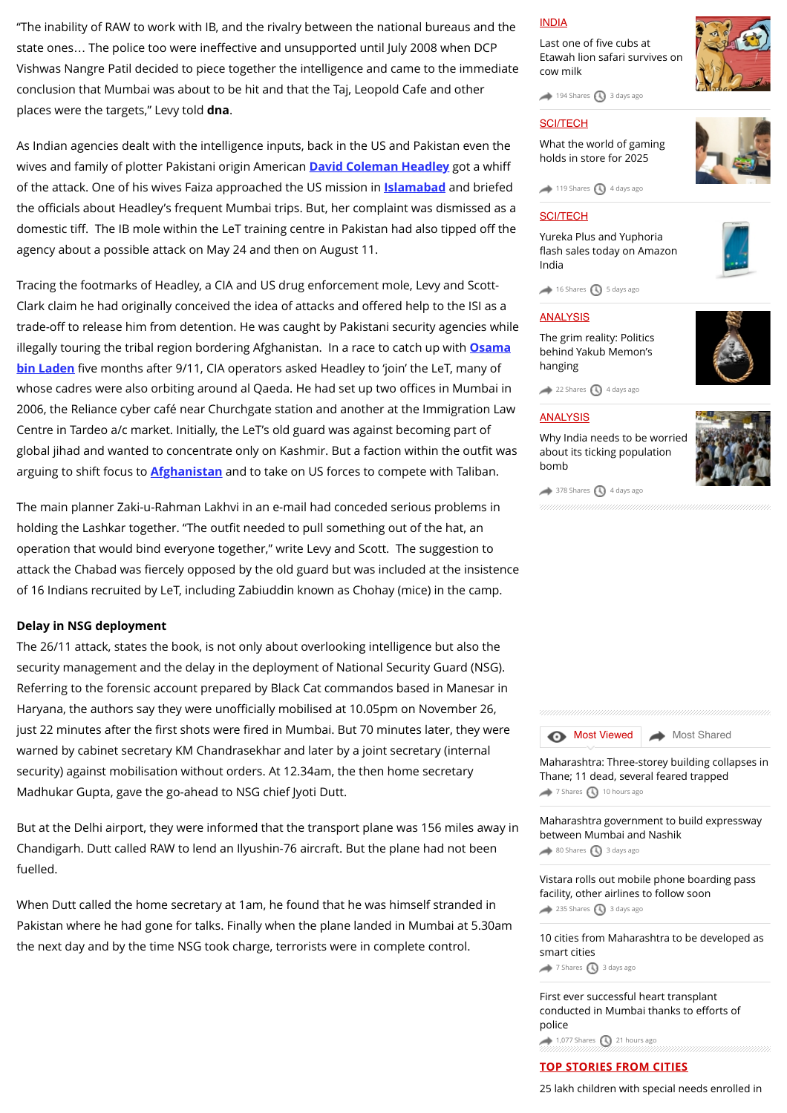"The inability of RAW to work with IB, and the rivalry between the national bureaus and the state ones… The police too were ineffective and unsupported until July 2008 when DCP Vishwas Nangre Patil decided to piece together the intelligence and came to the immediate conclusion that Mumbai was about to be hit and that the Taj, Leopold Cafe and other places were the targets," Levy told **dna**.

As Indian agencies dealt with the intelligence inputs, back in the US and Pakistan even the wives and family of plotter Pakistani origin American **[David Coleman Headley](http://www.dnaindia.com/topic/david-coleman-headley)** got a whiff of the attack. One of his wives Faiza approached the US mission in **[Islamabad](http://www.dnaindia.com/topic/islamabad)** and briefed the officials about Headley's frequent Mumbai trips. But, her complaint was dismissed as a domestic tiff. The IB mole within the LeT training centre in Pakistan had also tipped off the agency about a possible attack on May 24 and then on August 11.

Tracing the footmarks of Headley, a CIA and US drug enforcement mole, Levy and Scott-Clark claim he had originally conceived the idea of attacks and offered help to the ISI as a trade-off to release him from detention. He was caught by Pakistani security agencies while [illegally touring the tribal region bordering Afghanistan. In a race to catch up with](http://www.dnaindia.com/topic/osama-bin-laden) **Osama bin Laden** five months after 9/11, CIA operators asked Headley to 'join' the LeT, many of whose cadres were also orbiting around al Qaeda. He had set up two offices in Mumbai in 2006, the Reliance cyber café near Churchgate station and another at the Immigration Law Centre in Tardeo a/c market. Initially, the LeT's old guard was against becoming part of global jihad and wanted to concentrate only on Kashmir. But a faction within the outfit was arguing to shift focus to **[Afghanistan](http://www.dnaindia.com/topic/afghanistan)** and to take on US forces to compete with Taliban.

The main planner Zaki-u-Rahman Lakhvi in an e-mail had conceded serious problems in holding the Lashkar together. "The outfit needed to pull something out of the hat, an operation that would bind everyone together," write Levy and Scott. The suggestion to attack the Chabad was fiercely opposed by the old guard but was included at the insistence of 16 Indians recruited by LeT, including Zabiuddin known as Chohay (mice) in the camp.

#### **Delay in NSG deployment**

The 26/11 attack, states the book, is not only about overlooking intelligence but also the security management and the delay in the deployment of National Security Guard (NSG). Referring to the forensic account prepared by Black Cat commandos based in Manesar in Haryana, the authors say they were unofficially mobilised at 10.05pm on November 26, just 22 minutes after the first shots were fired in Mumbai. But 70 minutes later, they were warned by cabinet secretary KM Chandrasekhar and later by a joint secretary (internal security) against mobilisation without orders. At 12.34am, the then home secretary Madhukar Gupta, gave the go-ahead to NSG chief Jyoti Dutt.

But at the Delhi airport, they were informed that the transport plane was 156 miles away in Chandigarh. Dutt called RAW to lend an Ilyushin-76 aircraft. But the plane had not been fuelled.

When Dutt called the home secretary at 1am, he found that he was himself stranded in Pakistan where he had gone for talks. Finally when the plane landed in Mumbai at 5.30am the next day and by the time NSG took charge, terrorists were in complete control.

#### [INDIA](http://www.dnaindia.com/india)

Last one of five cubs at [Etawah lion safari survives on](http://www.dnaindia.com/india/report-last-one-of-five-cubs-at-etawah-lion-safari-survives-on-cow-milk-2109981) cow milk

 $\rightarrow$  [194 Shares](http://www.dnaindia.com/mumbai/report-26-alerts-failed-to-prevent-2611-1915319#)  $\bigcirc$  [3 days ago](http://www.dnaindia.com/mumbai/report-26-alerts-failed-to-prevent-2611-1915319#)

#### **[SCI/TECH](http://www.dnaindia.com/scitech)**

[What the world of gaming](http://www.dnaindia.com/scitech/report-immersion-is-the-name-of-the-game-2109432) holds in store for 2025



 $\rightarrow$  [119 Shares](http://www.dnaindia.com/mumbai/report-26-alerts-failed-to-prevent-2611-1915319#)  $\bigcirc$  [4 days ago](http://www.dnaindia.com/mumbai/report-26-alerts-failed-to-prevent-2611-1915319#)

#### [SCI/TECH](http://www.dnaindia.com/scitech)

Yureka Plus and Yuphoria fl[ash sales today on Amazon](http://www.dnaindia.com/scitech/report-yureka-plus-and-yuphoria-flash-sales-today-on-amazon-india-2109499) India



#### [ANALYSIS](http://www.dnaindia.com/analysis)

[The grim reality: Politics](http://www.dnaindia.com/analysis/editorial-the-grim-reality-politics-behind-yakub-memon-s-hanging-2109659) behind Yakub Memon's hanging



 $22$  Shares  $\bigcirc$  [4 days ago](http://www.dnaindia.com/mumbai/report-26-alerts-failed-to-prevent-2611-1915319#)

#### **[ANALYSIS](http://www.dnaindia.com/analysis)**

[Why India needs to be worried](http://www.dnaindia.com/analysis/editorial-dnaedit-population-bomb-2109662) about its ticking population bomb



 $\rightarrow$  [378 Shares](http://www.dnaindia.com/mumbai/report-26-alerts-failed-to-prevent-2611-1915319#)  $\bigcirc$  [4 days ago](http://www.dnaindia.com/mumbai/report-26-alerts-failed-to-prevent-2611-1915319#)



[Maharashtra: Three-storey building collapses in](http://www.dnaindia.com/mumbai/report-maharashtra-three-storey-building-collapses-in-thane-11-dead-several-feared-trapped-2110890) Thane; 11 dead, several feared trapped  $7$  Shares  $10$  hours ago

[Maharashtra government to build expressway](http://www.dnaindia.com/mumbai/report-maharashtra-government-to-build-expressway-between-mumbai-and-nashik-2109935) between Mumbai and Nashik [80 Shares](http://www.dnaindia.com/mumbai/report-26-alerts-failed-to-prevent-2611-1915319#) [3 days ago](http://www.dnaindia.com/mumbai/report-26-alerts-failed-to-prevent-2611-1915319#)

[Vistara rolls out mobile phone boarding pass](http://www.dnaindia.com/mumbai/report-vistara-rolls-out-mobile-phone-boarding-pass-facility-other-airlines-to-follow-soon-2109930) facility, other airlines to follow soon  $235$  Shares  $\bigcirc$  [3 days ago](http://www.dnaindia.com/mumbai/report-26-alerts-failed-to-prevent-2611-1915319#)

[10 cities from Maharashtra to be developed as](http://www.dnaindia.com/mumbai/report-10-cities-from-maharashtra-to-be-developed-as-smart-cities-2109979) smart cities [7 Shares](http://www.dnaindia.com/mumbai/report-26-alerts-failed-to-prevent-2611-1915319#) [3 days ago](http://www.dnaindia.com/mumbai/report-26-alerts-failed-to-prevent-2611-1915319#)

[First ever successful heart transplant](http://www.dnaindia.com/mumbai/report-first-ever-successful-heart-transplant-conducted-in-mumbai-thanks-to-efforts-of-police-2110832) conducted in Mumbai thanks to efforts of police

 $\rightarrow$  [1,077 Shares](http://www.dnaindia.com/mumbai/report-26-alerts-failed-to-prevent-2611-1915319#)  $\bigcirc$  [21 hours ago](http://www.dnaindia.com/mumbai/report-26-alerts-failed-to-prevent-2611-1915319#)

#### **TOP STORIES FROM CITIES**

[25 lakh children with special needs enrolled in](http://www.dnaindia.com/delhi/report-25-lakh-children-with-special-needs-enrolled-in-schools-govt-2110985)

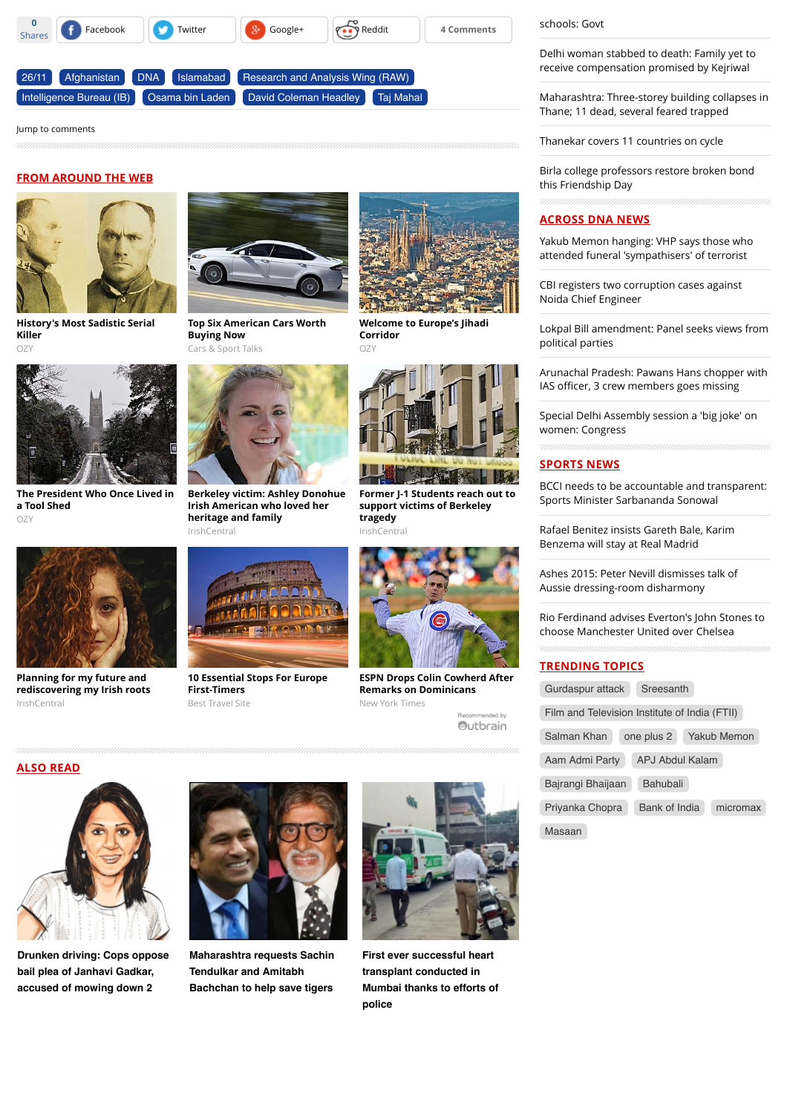

#### [Jump to comments](http://www.dnaindia.com/mumbai/report-26-alerts-failed-to-prevent-2611-1915319#comments)

#### **FROM AROUND THE WEB**



**[History's Most Sadistic Serial](http://www.ozy.com/flashback/historys-most-sadistic-serial-killer/40585?utm_source=Outbrain&utm_medium=CPC&utm_campaign=INTL%20-%20All%20Clicks%20ALL%20Devices) Killer** OZY



**[Top Six American Cars Worth](http://fryerschat.com/top-six-american-cars-worth-buying-now/) Buying Now** Cars & Sport Talks



**[The President Who Once Lived in](http://www.ozy.com/flashback/the-president-who-once-lived-in-a-tool-shed/41422?utm_source=Outbrain&utm_medium=CPC&utm_campaign=INTL%20-%20All%20Clicks%20ALL%20Devices) a Tool Shed**  $OZ$ 



**Planning for my future and [rediscovering my Irish roots](http://www.irishcentral.com/news/irishvoice/Planning-for-my-future-and-rediscovering-my-Irish-roots.html)** IrishCentral



**[Berkeley victim: Ashley Donohue](http://www.irishcentral.com/news/Ashley-Donohue-Irish-American-who-loved-her-heritage-and-family.html?utm_source=outbrain&utm_medium=content&utm_campaign=paid) Irish American who loved her heritage and family** IrishCentral



**[10 Essential Stops For Europe](http://travel-gist.com/10-essential-stops-for-europe-first-timers/) First-Timers** Best Travel Site



**[Welcome to Europe's Jihadi](http://www.ozy.com/fast-forward/welcome-to-europes-jihadi-corridor/60342?utm_source=Outbrain&utm_medium=CPC&utm_campaign=INTL%20-%20All%20Clicks%20ALL%20Devices) Corridor**  $O<sub>7</sub>$ 



**[Former J-1 Students reach out to](http://www.irishcentral.com/news/Former-J-1-Students-reach-out-to-support-victims-of-Berkeley-tragedy.html?utm_source=outbrain&utm_medium=content&utm_campaign=paid) support victims of Berkeley tragedy** IrishCentral



**[ESPN Drops Colin Cowherd After](http://www.nytimes.com/2015/07/25/sports/baseball/colin-cowherd-tries-to-explain-remarks-on-dominicans.html?WT.mc_id=2015-AUGUST-OTB-INTL_AUD_DEV-0801-0831&WT.mc_ev=click&ad-keywords=IntlAudDev) Remarks on Dominicans** New York Times

[schools: Govt](http://www.dnaindia.com/delhi/report-25-lakh-children-with-special-needs-enrolled-in-schools-govt-2110985)

[Delhi woman stabbed to death: Family yet to](http://www.dnaindia.com/delhi/report-delhi-woman-stabbed-to-death-family-yet-to-receive-compensation-promised-by-kejriwal-2110904) receive compensation promised by Kejriwal

[Maharashtra: Three-storey building collapses in](http://www.dnaindia.com/mumbai/report-maharashtra-three-storey-building-collapses-in-thane-11-dead-several-feared-trapped-2110890) Thane; 11 dead, several feared trapped

[Thanekar covers 11 countries on cycle](http://www.dnaindia.com/mumbai/report-thanekar-covers-11-countries-on-cycle-2110888)

[Birla college professors restore broken bond](http://www.dnaindia.com/mumbai/report-birla-college-professors-restore-broken-bond-this-friendship-day-2110887) this Friendship Day

#### **ACROSS DNA NEWS**

[Yakub Memon hanging: VHP says those who](http://www.dnaindia.com/india/report-yakub-memon-hanging-vhp-says-those-who-attended-funeral-sympathisers-of-terrorist-2111077) attended funeral 'sympathisers' of terrorist

[CBI registers two corruption cases against](http://www.dnaindia.com/india/report-cbi-registers-two-corruption-cases-against-noida-chief-engineer-2111064) Noida Chief Engineer

[Lokpal Bill amendment: Panel seeks views from](http://www.dnaindia.com/india/report-lokpal-bill-amendment-panel-seeks-views-from-political-parties-2111030) political parties

[Arunachal Pradesh: Pawans Hans chopper with](http://www.dnaindia.com/india/report-arunachal-pradesh-pawans-hans-chopper-with-ias-officer-2-others-goes-missing-2110994) IAS officer, 3 crew members goes missing

[Special Delhi Assembly session a 'big joke' on](http://www.dnaindia.com/india/report-special-delhi-assembly-session-a-big-joke-on-women-congress-2111040) women: Congress

#### **SPORTS NEWS**

[BCCI needs to be accountable and transparent:](http://www.dnaindia.com/sport/report-bcci-needs-to-be-accountable-and-transparent-sports-minister-sarbananda-sonowal-2111038) Sports Minister Sarbananda Sonowal

[Rafael Benitez insists Gareth Bale, Karim](http://www.dnaindia.com/sport/report-rafael-benitez-insists-gareth-bale-karim-benzema-will-stay-at-real-madrid-2110989) Benzema will stay at Real Madrid

[Ashes 2015: Peter Nevill dismisses talk of](http://www.dnaindia.com/sport/report-ashes-2015-peter-nevill-dismisses-talk-of-aussie-dressing-room-disharmony-2110984) Aussie dressing-room disharmony

[Rio Ferdinand advises Everton's John Stones to](http://www.dnaindia.com/sport/report-rio-ferdinand-advises-everton-s-john-stones-to-choose-manchester-united-over-chelsea-2110968) choose Manchester United over Chelsea

#### **TRENDING TOPICS**

| Gurdaspur attack                              | Sreesanth       |  |                    |
|-----------------------------------------------|-----------------|--|--------------------|
| Film and Television Institute of India (FTII) |                 |  |                    |
| Salman Khan                                   | one plus 2      |  | <b>Yakub Memon</b> |
| Aam Admi Party                                | APJ Abdul Kalam |  |                    |
| Bajrangi Bhaijaan                             | <b>Bahubali</b> |  |                    |
| Priyanka Chopra                               | Bank of India   |  | micromax           |
| Masaan                                        |                 |  |                    |





**[Drunken driving: Cops oppose](http://www.dnaindia.com/mumbai/report-drunken-driving-cops-oppose-bail-plea-of-janhavi-gadkar-accused-of-mowing-down-2-2110873) bail plea of Janhavi Gadkar, accused of mowing down 2**



**[Maharashtra requests Sachin](http://www.dnaindia.com/mumbai/report-maharashtra-requests-sachin-tendulkar-and-amitabh-bachchan-to-help-save-tigers-2110838) Tendulkar and Amitabh Bachchan to help save tigers**



**First ever successful heart transplant conducted in [Mumbai thanks to efforts of](http://www.dnaindia.com/mumbai/report-first-ever-successful-heart-transplant-conducted-in-mumbai-thanks-to-efforts-of-police-2110832) police**

ended by Outbrain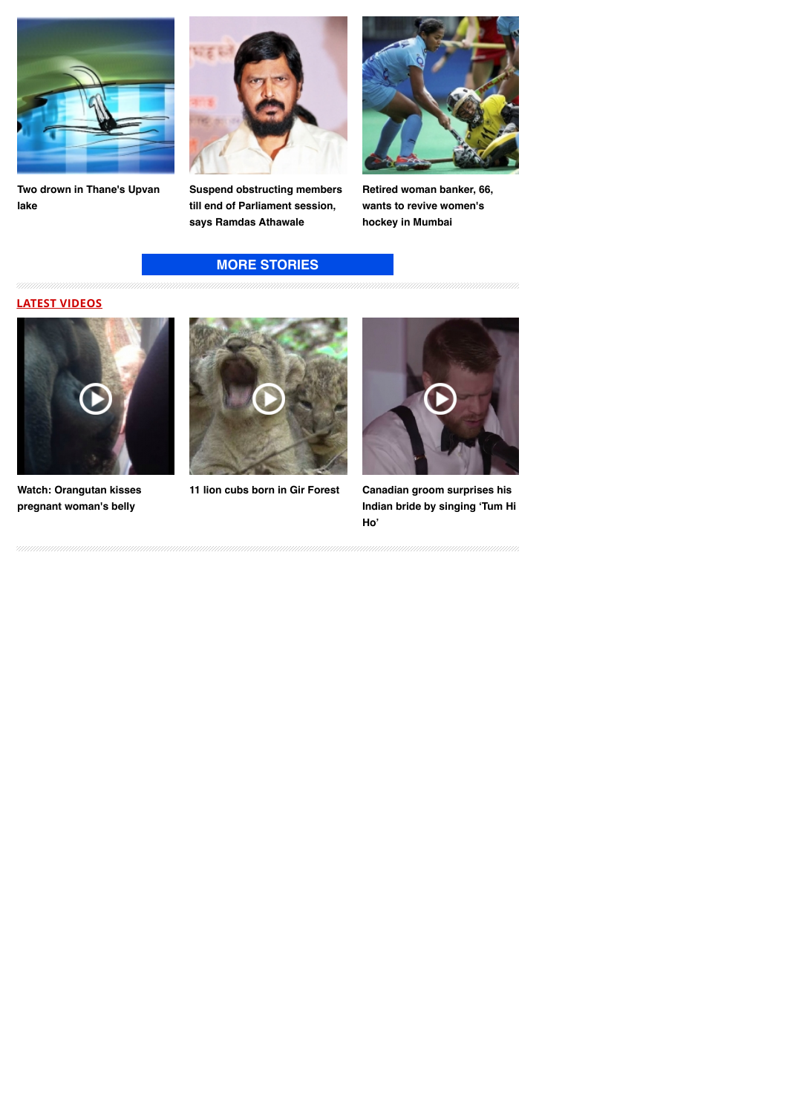

**[Two drown in Thane's Upvan](http://www.dnaindia.com/mumbai/report-two-drown-in-thane-s-upvan-lake-2110740) lake**



**[Suspend obstructing members](http://www.dnaindia.com/mumbai/report-suspend-obstructing-members-till-end-of-parliament-session-says-ramdas-athawale-2110708) till end of Parliament session, says Ramdas Athawale**

### **[MORE STORIES](http://www.dnaindia.com/mumbai)**



**[Retired woman banker, 66,](http://www.dnaindia.com/mumbai/report-retired-woman-banker-66-wants-to-revive-women-s-hockey-in-mumbai-2110524) wants to revive women's hockey in Mumbai**

## **LATEST VIDEOS**



**[Watch: Orangutan kisses](http://www.dnaindia.com/world/video-watch-orangutan-kisses-pregnant-woman-s-belly-2109068) pregnant woman's belly**





**[11 lion cubs born in Gir Forest](http://www.dnaindia.com/india/video-11-lion-cubs-born-in-gir-forest-2105493) Canadian groom surprises his [Indian bride by singing 'Tum Hi](http://www.dnaindia.com/world/video-canadian-groom-surprises-his-indian-bride-by-singing-tum-hi-ho-2104831) Ho'**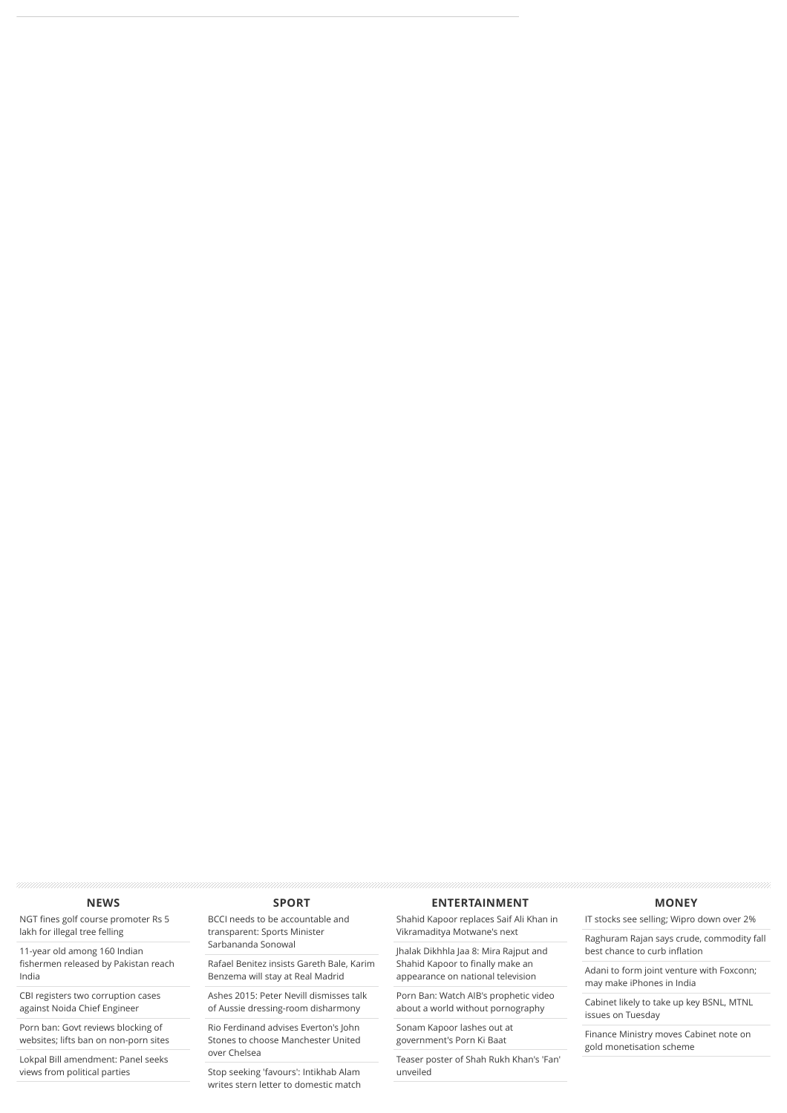#### **[NEWS](http://www.dnaindia.com/news)**

NGT fi[nes golf course promoter Rs 5](http://www.dnaindia.com/india/report-ngt-fines-golf-course-promoter-rs-5-lakh-for-illegal-tree-felling-2111076) lakh for illegal tree felling

11-year old among 160 Indian fi[shermen released by Pakistan reach](http://www.dnaindia.com/india/report-11-year-old-among-160-indian-fishermen-released-by-pakistan-reach-india-2111069) India

[CBI registers two corruption cases](http://www.dnaindia.com/india/report-cbi-registers-two-corruption-cases-against-noida-chief-engineer-2111064) against Noida Chief Engineer

Porn ban: Govt reviews blocking of [websites; lifts ban on non-porn sites](http://www.dnaindia.com/india/report-govt-reviews-blocking-of-websites-lifts-ban-on-non-porn-sites-2111065)

[Lokpal Bill amendment: Panel seeks](http://www.dnaindia.com/india/report-lokpal-bill-amendment-panel-seeks-views-from-political-parties-2111030) views from political parties

#### **[SPORT](http://www.dnaindia.com/sport)**

[BCCI needs to be accountable and](http://www.dnaindia.com/sport/report-bcci-needs-to-be-accountable-and-transparent-sports-minister-sarbananda-sonowal-2111038) transparent: Sports Minister Sarbananda Sonowal

[Rafael Benitez insists Gareth Bale, Karim](http://www.dnaindia.com/sport/report-rafael-benitez-insists-gareth-bale-karim-benzema-will-stay-at-real-madrid-2110989) Benzema will stay at Real Madrid

[Ashes 2015: Peter Nevill dismisses talk](http://www.dnaindia.com/sport/report-ashes-2015-peter-nevill-dismisses-talk-of-aussie-dressing-room-disharmony-2110984) of Aussie dressing-room disharmony

Rio Ferdinand advises Everton's John [Stones to choose Manchester United](http://www.dnaindia.com/sport/report-rio-ferdinand-advises-everton-s-john-stones-to-choose-manchester-united-over-chelsea-2110968) over Chelsea

Stop seeking 'favours': Intikhab Alam [writes stern letter to domestic match](http://www.dnaindia.com/sport/report-stop-seeking-favours-intikhab-alam-writes-sturn-letter-to-domestic-match-referees-2110954)

#### **[ENTERTAINMENT](http://www.dnaindia.com/entertainment)**

[Shahid Kapoor replaces Saif Ali Khan in](http://www.dnaindia.com/entertainment/report-shahid-kapoor-replaces-saif-ali-khan-in-vikramaditya-motwane-s-next-2111085) Vikramaditya Motwane's next

[Jhalak Dikhhla Jaa 8: Mira Rajput and](http://www.dnaindia.com/entertainment/report-jhalak-dikhhla-jaa-8-mira-rajput-and-shahid-kapoor-to-finally-make-an-appearance-on-national-television-2111058) Shahid Kapoor to finally make an appearance on national television

[Porn Ban: Watch AIB's prophetic video](http://www.dnaindia.com/entertainment/report-porn-ban-watch-aib-s-prophetic-video-about-a-world-without-pornography-2111047) about a world without pornography

[Sonam Kapoor lashes out at](http://www.dnaindia.com/entertainment/report-sonam-kapoor-lashes-out-at-government-s-porn-ki-baat-2111028) government's Porn Ki Baat

[Teaser poster of Shah Rukh Khan's 'Fan'](http://www.dnaindia.com/entertainment/report-teaser-poster-of-shah-rukh-khan-s-fan-unveiled-2110987) unveiled

#### **[MONEY](http://www.dnaindia.com/money)**

[IT stocks see selling; Wipro down over 2%](http://www.dnaindia.com/money/report-it-stocks-see-selling-wipro-down-over-2-2111074)

[Raghuram Rajan says crude, commodity fall](http://www.dnaindia.com/money/report-raghuram-rajan-says-crude-commodity-fall-best-chance-to-curb-inflation-2111073) best chance to curb inflation

[Adani to form joint venture with Foxconn;](http://www.dnaindia.com/money/report-adani-to-form-joint-venture-with-foxconn-may-make-iphones-in-india-2111075) may make iPhones in India

[Cabinet likely to take up key BSNL, MTNL](http://www.dnaindia.com/money/report-cabinet-likely-to-take-up-key-bsnl-mtnl-issues-on-tuesday-2111070) issues on Tuesday

[Finance Ministry moves Cabinet note on](http://www.dnaindia.com/money/report-finance-ministry-moves-cabinet-note-on-gold-monetisation-scheme-2111055) gold monetisation scheme